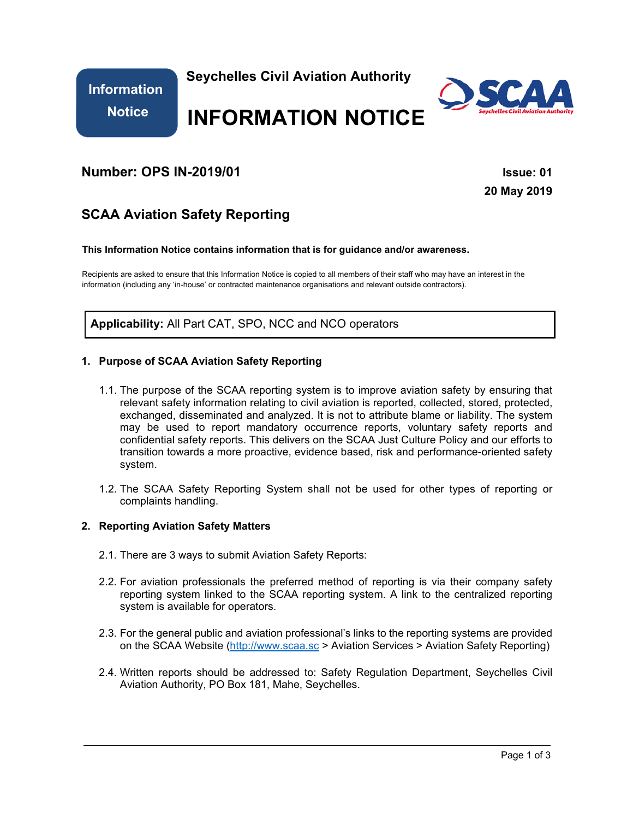**Information Notice**

 **Seychelles Civil Aviation Authority**



# **INFORMATION NOTICE**

# **Number: OPS IN-2019/01 ISSUE: 01 ISSUE: 01**

**20 May 2019** 

# **SCAA Aviation Safety Reporting**

#### **This Information Notice contains information that is for guidance and/or awareness.**

Recipients are asked to ensure that this Information Notice is copied to all members of their staff who may have an interest in the information (including any 'in-house' or contracted maintenance organisations and relevant outside contractors).

**Applicability:** All Part CAT, SPO, NCC and NCO operators

## **1. Purpose of SCAA Aviation Safety Reporting**

- 1.1. The purpose of the SCAA reporting system is to improve aviation safety by ensuring that relevant safety information relating to civil aviation is reported, collected, stored, protected, exchanged, disseminated and analyzed. It is not to attribute blame or liability. The system may be used to report mandatory occurrence reports, voluntary safety reports and confidential safety reports. This delivers on the SCAA Just Culture Policy and our efforts to transition towards a more proactive, evidence based, risk and performance-oriented safety system.
- 1.2. The SCAA Safety Reporting System shall not be used for other types of reporting or complaints handling.

## **2. Reporting Aviation Safety Matters**

- 2.1. There are 3 ways to submit Aviation Safety Reports:
- 2.2. For aviation professionals the preferred method of reporting is via their company safety reporting system linked to the SCAA reporting system. A link to the centralized reporting system is available for operators.
- 2.3. For the general public and aviation professional's links to the reporting systems are provided on the SCAA Website (http://www.scaa.sc > Aviation Services > Aviation Safety Reporting)
- 2.4. Written reports should be addressed to: Safety Regulation Department, Seychelles Civil Aviation Authority, PO Box 181, Mahe, Seychelles.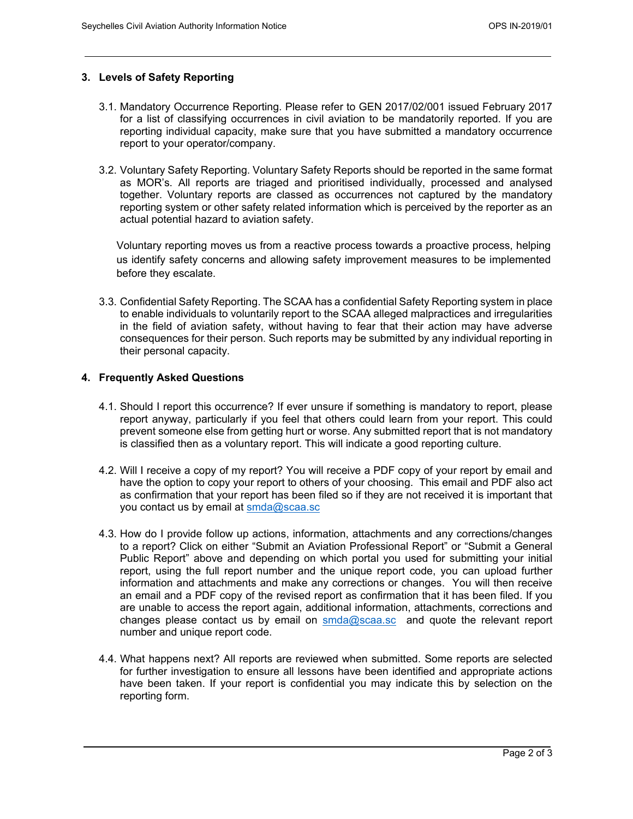## **3. Levels of Safety Reporting**

- 3.1. Mandatory Occurrence Reporting. Please refer to GEN 2017/02/001 issued February 2017 for a list of classifying occurrences in civil aviation to be mandatorily reported. If you are reporting individual capacity, make sure that you have submitted a mandatory occurrence report to your operator/company.
- 3.2. Voluntary Safety Reporting. Voluntary Safety Reports should be reported in the same format as MOR's. All reports are triaged and prioritised individually, processed and analysed together. Voluntary reports are classed as occurrences not captured by the mandatory reporting system or other safety related information which is perceived by the reporter as an actual potential hazard to aviation safety.

Voluntary reporting moves us from a reactive process towards a proactive process, helping us identify safety concerns and allowing safety improvement measures to be implemented before they escalate.

3.3. Confidential Safety Reporting. The SCAA has a confidential Safety Reporting system in place to enable individuals to voluntarily report to the SCAA alleged malpractices and irregularities in the field of aviation safety, without having to fear that their action may have adverse consequences for their person. Such reports may be submitted by any individual reporting in their personal capacity.

#### **4. Frequently Asked Questions**

- 4.1. Should I report this occurrence? If ever unsure if something is mandatory to report, please report anyway, particularly if you feel that others could learn from your report. This could prevent someone else from getting hurt or worse. Any submitted report that is not mandatory is classified then as a voluntary report. This will indicate a good reporting culture.
- 4.2. Will I receive a copy of my report? You will receive a PDF copy of your report by email and have the option to copy your report to others of your choosing. This email and PDF also act as confirmation that your report has been filed so if they are not received it is important that you contact us by email at smda@scaa.sc
- 4.3. How do I provide follow up actions, information, attachments and any corrections/changes to a report? Click on either "Submit an Aviation Professional Report" or "Submit a General Public Report" above and depending on which portal you used for submitting your initial report, using the full report number and the unique report code, you can upload further information and attachments and make any corrections or changes. You will then receive an email and a PDF copy of the revised report as confirmation that it has been filed. If you are unable to access the report again, additional information, attachments, corrections and changes please contact us by email on  $\frac{\text{smda@sca.sc}}{\text{smda@sca.sc}}$  and quote the relevant report number and unique report code.
- 4.4. What happens next? All reports are reviewed when submitted. Some reports are selected for further investigation to ensure all lessons have been identified and appropriate actions have been taken. If your report is confidential you may indicate this by selection on the reporting form.